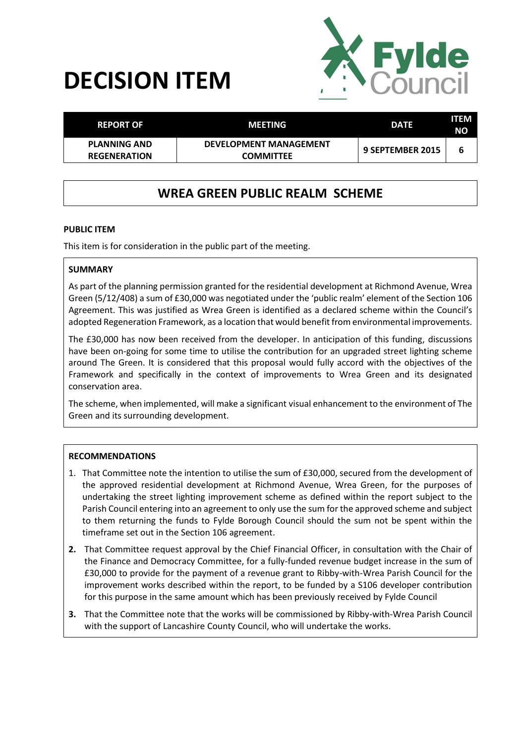# **DECISION ITEM**



| <b>REPORT OF</b>                           | MEETING                                           | <b>DATE</b>      | ITEM<br>NΟ |
|--------------------------------------------|---------------------------------------------------|------------------|------------|
| <b>PLANNING AND</b><br><b>REGENERATION</b> | <b>DEVELOPMENT MANAGEMENT</b><br><b>COMMITTEE</b> | 9 SEPTEMBER 2015 | ь          |

## **WREA GREEN PUBLIC REALM SCHEME**

#### **PUBLIC ITEM**

This item is for consideration in the public part of the meeting.

#### **SUMMARY**

As part of the planning permission granted for the residential development at Richmond Avenue, Wrea Green (5/12/408) a sum of £30,000 was negotiated under the 'public realm' element of the Section 106 Agreement. This was justified as Wrea Green is identified as a declared scheme within the Council's adopted Regeneration Framework, as a location that would benefit from environmental improvements.

The £30,000 has now been received from the developer. In anticipation of this funding, discussions have been on-going for some time to utilise the contribution for an upgraded street lighting scheme around The Green. It is considered that this proposal would fully accord with the objectives of the Framework and specifically in the context of improvements to Wrea Green and its designated conservation area.

The scheme, when implemented, will make a significant visual enhancement to the environment of The Green and its surrounding development.

#### **RECOMMENDATIONS**

- 1. That Committee note the intention to utilise the sum of £30,000, secured from the development of the approved residential development at Richmond Avenue, Wrea Green, for the purposes of undertaking the street lighting improvement scheme as defined within the report subject to the Parish Council entering into an agreement to only use the sum for the approved scheme and subject to them returning the funds to Fylde Borough Council should the sum not be spent within the timeframe set out in the Section 106 agreement.
- **2.** That Committee request approval by the Chief Financial Officer, in consultation with the Chair of the Finance and Democracy Committee, for a fully-funded revenue budget increase in the sum of £30,000 to provide for the payment of a revenue grant to Ribby-with-Wrea Parish Council for the improvement works described within the report, to be funded by a S106 developer contribution for this purpose in the same amount which has been previously received by Fylde Council
- **3.** That the Committee note that the works will be commissioned by Ribby-with-Wrea Parish Council with the support of Lancashire County Council, who will undertake the works.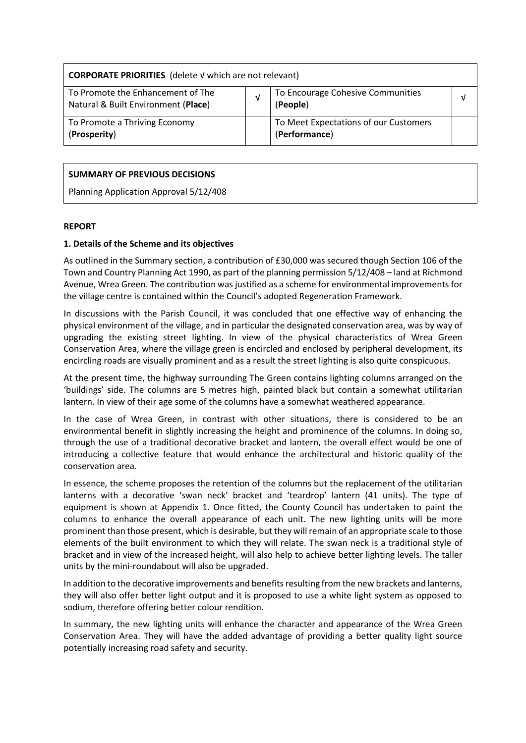| <b>CORPORATE PRIORITIES</b> (delete V which are not relevant)            |  |                                                        |  |  |
|--------------------------------------------------------------------------|--|--------------------------------------------------------|--|--|
| To Promote the Enhancement of The<br>Natural & Built Environment (Place) |  | To Encourage Cohesive Communities<br>(People)          |  |  |
| To Promote a Thriving Economy<br>(Prosperity)                            |  | To Meet Expectations of our Customers<br>(Performance) |  |  |

#### **SUMMARY OF PREVIOUS DECISIONS**

Planning Application Approval 5/12/408

#### **REPORT**

#### **1. Details of the Scheme and its objectives**

As outlined in the Summary section, a contribution of £30,000 was secured though Section 106 of the Town and Country Planning Act 1990, as part of the planning permission 5/12/408 – land at Richmond Avenue, Wrea Green. The contribution was justified as a scheme for environmental improvements for the village centre is contained within the Council's adopted Regeneration Framework.

In discussions with the Parish Council, it was concluded that one effective way of enhancing the physical environment of the village, and in particular the designated conservation area, was by way of upgrading the existing street lighting. In view of the physical characteristics of Wrea Green Conservation Area, where the village green is encircled and enclosed by peripheral development, its encircling roads are visually prominent and as a result the street lighting is also quite conspicuous.

At the present time, the highway surrounding The Green contains lighting columns arranged on the 'buildings' side. The columns are 5 metres high, painted black but contain a somewhat utilitarian lantern. In view of their age some of the columns have a somewhat weathered appearance.

In the case of Wrea Green, in contrast with other situations, there is considered to be an environmental benefit in slightly increasing the height and prominence of the columns. In doing so, through the use of a traditional decorative bracket and lantern, the overall effect would be one of introducing a collective feature that would enhance the architectural and historic quality of the conservation area.

In essence, the scheme proposes the retention of the columns but the replacement of the utilitarian lanterns with a decorative 'swan neck' bracket and 'teardrop' lantern (41 units). The type of equipment is shown at Appendix 1. Once fitted, the County Council has undertaken to paint the columns to enhance the overall appearance of each unit. The new lighting units will be more prominent than those present, which is desirable, but they will remain of an appropriate scale to those elements of the built environment to which they will relate. The swan neck is a traditional style of bracket and in view of the increased height, will also help to achieve better lighting levels. The taller units by the mini-roundabout will also be upgraded.

In addition to the decorative improvements and benefits resulting from the new brackets and lanterns, they will also offer better light output and it is proposed to use a white light system as opposed to sodium, therefore offering better colour rendition.

In summary, the new lighting units will enhance the character and appearance of the Wrea Green Conservation Area. They will have the added advantage of providing a better quality light source potentially increasing road safety and security.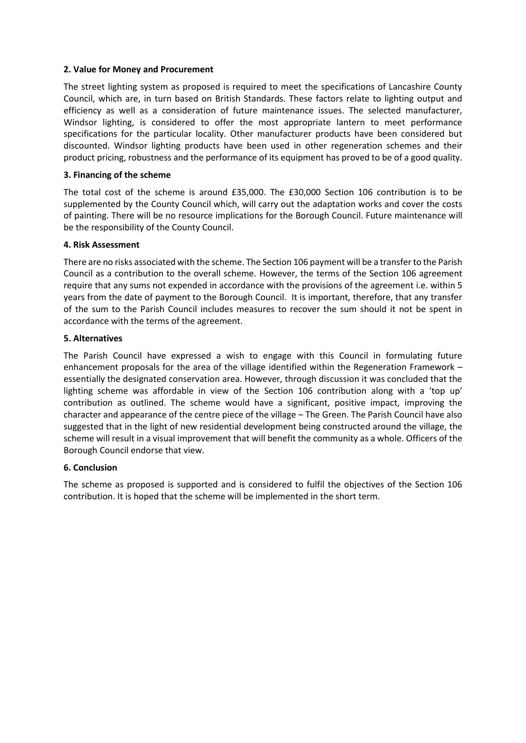#### **2. Value for Money and Procurement**

The street lighting system as proposed is required to meet the specifications of Lancashire County Council, which are, in turn based on British Standards. These factors relate to lighting output and efficiency as well as a consideration of future maintenance issues. The selected manufacturer, Windsor lighting, is considered to offer the most appropriate lantern to meet performance specifications for the particular locality. Other manufacturer products have been considered but discounted. Windsor lighting products have been used in other regeneration schemes and their product pricing, robustness and the performance of its equipment has proved to be of a good quality.

#### **3. Financing of the scheme**

The total cost of the scheme is around £35,000. The £30,000 Section 106 contribution is to be supplemented by the County Council which, will carry out the adaptation works and cover the costs of painting. There will be no resource implications for the Borough Council. Future maintenance will be the responsibility of the County Council.

#### **4. Risk Assessment**

There are no risks associated with the scheme. The Section 106 payment will be a transfer to the Parish Council as a contribution to the overall scheme. However, the terms of the Section 106 agreement require that any sums not expended in accordance with the provisions of the agreement i.e. within 5 years from the date of payment to the Borough Council. It is important, therefore, that any transfer of the sum to the Parish Council includes measures to recover the sum should it not be spent in accordance with the terms of the agreement.

#### **5. Alternatives**

The Parish Council have expressed a wish to engage with this Council in formulating future enhancement proposals for the area of the village identified within the Regeneration Framework – essentially the designated conservation area. However, through discussion it was concluded that the lighting scheme was affordable in view of the Section 106 contribution along with a 'top up' contribution as outlined. The scheme would have a significant, positive impact, improving the character and appearance of the centre piece of the village – The Green. The Parish Council have also suggested that in the light of new residential development being constructed around the village, the scheme will result in a visual improvement that will benefit the community as a whole. Officers of the Borough Council endorse that view.

#### **6. Conclusion**

The scheme as proposed is supported and is considered to fulfil the objectives of the Section 106 contribution. It is hoped that the scheme will be implemented in the short term.